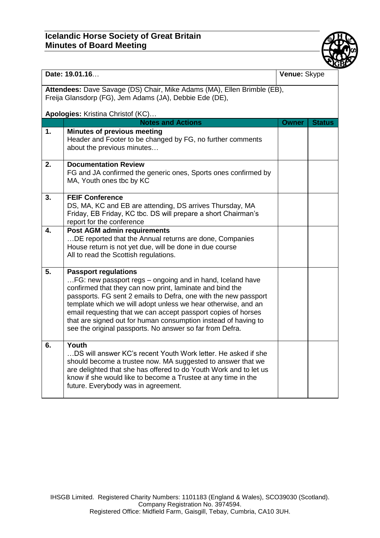## **Icelandic Horse Society of Great Britain Minutes of Board Meeting**



| Date: 19.01.16                                                                                                                     |                                                                                                                                 | Venue: Skype |               |  |  |
|------------------------------------------------------------------------------------------------------------------------------------|---------------------------------------------------------------------------------------------------------------------------------|--------------|---------------|--|--|
| Attendees: Dave Savage (DS) Chair, Mike Adams (MA), Ellen Brimble (EB),<br>Freija Glansdorp (FG), Jem Adams (JA), Debbie Ede (DE), |                                                                                                                                 |              |               |  |  |
| Apologies: Kristina Christof (KC)                                                                                                  |                                                                                                                                 |              |               |  |  |
| 1.                                                                                                                                 | <b>Notes and Actions</b><br><b>Minutes of previous meeting</b>                                                                  | <b>Owner</b> | <b>Status</b> |  |  |
|                                                                                                                                    | Header and Footer to be changed by FG, no further comments<br>about the previous minutes                                        |              |               |  |  |
| 2.                                                                                                                                 | <b>Documentation Review</b>                                                                                                     |              |               |  |  |
|                                                                                                                                    | FG and JA confirmed the generic ones, Sports ones confirmed by<br>MA, Youth ones tbc by KC                                      |              |               |  |  |
| 3.                                                                                                                                 | <b>FEIF Conference</b>                                                                                                          |              |               |  |  |
|                                                                                                                                    | DS, MA, KC and EB are attending, DS arrives Thursday, MA                                                                        |              |               |  |  |
|                                                                                                                                    | Friday, EB Friday, KC tbc. DS will prepare a short Chairman's<br>report for the conference                                      |              |               |  |  |
| 4.                                                                                                                                 | <b>Post AGM admin requirements</b>                                                                                              |              |               |  |  |
|                                                                                                                                    | DE reported that the Annual returns are done, Companies                                                                         |              |               |  |  |
|                                                                                                                                    | House return is not yet due, will be done in due course<br>All to read the Scottish regulations.                                |              |               |  |  |
|                                                                                                                                    |                                                                                                                                 |              |               |  |  |
| 5.                                                                                                                                 | <b>Passport regulations</b>                                                                                                     |              |               |  |  |
|                                                                                                                                    | FG: new passport regs - ongoing and in hand, Iceland have<br>confirmed that they can now print, laminate and bind the           |              |               |  |  |
|                                                                                                                                    | passports. FG sent 2 emails to Defra, one with the new passport                                                                 |              |               |  |  |
|                                                                                                                                    | template which we will adopt unless we hear otherwise, and an                                                                   |              |               |  |  |
|                                                                                                                                    | email requesting that we can accept passport copies of horses<br>that are signed out for human consumption instead of having to |              |               |  |  |
|                                                                                                                                    | see the original passports. No answer so far from Defra.                                                                        |              |               |  |  |
|                                                                                                                                    |                                                                                                                                 |              |               |  |  |
| 6.                                                                                                                                 | Youth<br>DS will answer KC's recent Youth Work letter. He asked if she                                                          |              |               |  |  |
|                                                                                                                                    | should become a trustee now. MA suggested to answer that we                                                                     |              |               |  |  |
|                                                                                                                                    | are delighted that she has offered to do Youth Work and to let us                                                               |              |               |  |  |
|                                                                                                                                    | know if she would like to become a Trustee at any time in the                                                                   |              |               |  |  |
|                                                                                                                                    | future. Everybody was in agreement.                                                                                             |              |               |  |  |